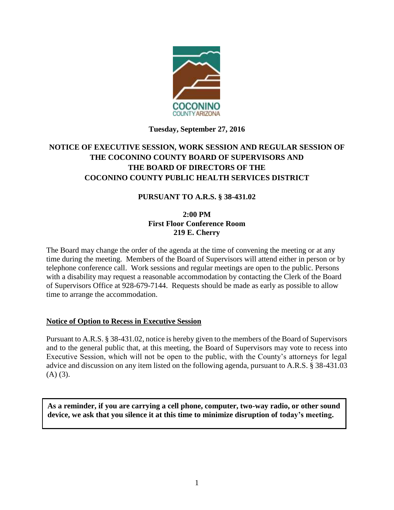

## **Tuesday, September 27, 2016**

# **NOTICE OF EXECUTIVE SESSION, WORK SESSION AND REGULAR SESSION OF THE COCONINO COUNTY BOARD OF SUPERVISORS AND THE BOARD OF DIRECTORS OF THE COCONINO COUNTY PUBLIC HEALTH SERVICES DISTRICT**

### **PURSUANT TO A.R.S. § 38-431.02**

### **2:00 PM First Floor Conference Room 219 E. Cherry**

The Board may change the order of the agenda at the time of convening the meeting or at any time during the meeting. Members of the Board of Supervisors will attend either in person or by telephone conference call. Work sessions and regular meetings are open to the public. Persons with a disability may request a reasonable accommodation by contacting the Clerk of the Board of Supervisors Office at 928-679-7144. Requests should be made as early as possible to allow time to arrange the accommodation.

#### **Notice of Option to Recess in Executive Session**

Pursuant to A.R.S. § 38-431.02, notice is hereby given to the members of the Board of Supervisors and to the general public that, at this meeting, the Board of Supervisors may vote to recess into Executive Session, which will not be open to the public, with the County's attorneys for legal advice and discussion on any item listed on the following agenda, pursuant to A.R.S. § 38-431.03  $(A)$   $(3)$ .

**As a reminder, if you are carrying a cell phone, computer, two-way radio, or other sound device, we ask that you silence it at this time to minimize disruption of today's meeting.**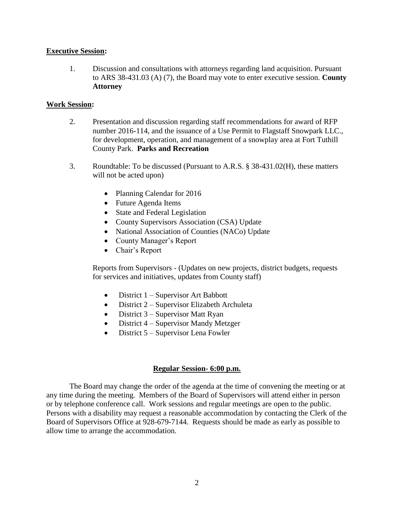#### **Executive Session:**

1. Discussion and consultations with attorneys regarding land acquisition. Pursuant to ARS 38-431.03 (A) (7), the Board may vote to enter executive session. **County Attorney**

#### **Work Session:**

- 2. Presentation and discussion regarding staff recommendations for award of RFP number 2016-114, and the issuance of a Use Permit to Flagstaff Snowpark LLC., for development, operation, and management of a snowplay area at Fort Tuthill County Park. **Parks and Recreation**
- 3. Roundtable: To be discussed (Pursuant to A.R.S. § 38-431.02(H), these matters will not be acted upon)
	- Planning Calendar for 2016
	- Future Agenda Items
	- State and Federal Legislation
	- County Supervisors Association (CSA) Update
	- National Association of Counties (NACo) Update
	- County Manager's Report
	- Chair's Report

Reports from Supervisors - (Updates on new projects, district budgets, requests for services and initiatives, updates from County staff)

- District 1 Supervisor Art Babbott
- District 2 Supervisor Elizabeth Archuleta
- District  $3$  Supervisor Matt Ryan
- District 4 Supervisor Mandy Metzger
- $\bullet$  District 5 Supervisor Lena Fowler

#### **Regular Session- 6:00 p.m.**

The Board may change the order of the agenda at the time of convening the meeting or at any time during the meeting. Members of the Board of Supervisors will attend either in person or by telephone conference call. Work sessions and regular meetings are open to the public. Persons with a disability may request a reasonable accommodation by contacting the Clerk of the Board of Supervisors Office at 928-679-7144. Requests should be made as early as possible to allow time to arrange the accommodation.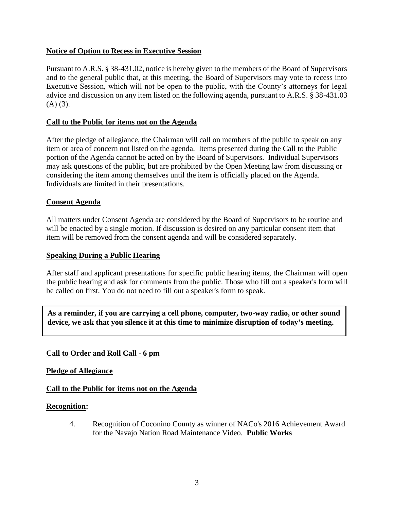### **Notice of Option to Recess in Executive Session**

Pursuant to A.R.S. § 38-431.02, notice is hereby given to the members of the Board of Supervisors and to the general public that, at this meeting, the Board of Supervisors may vote to recess into Executive Session, which will not be open to the public, with the County's attorneys for legal advice and discussion on any item listed on the following agenda, pursuant to A.R.S. § 38-431.03  $(A)$   $(3)$ .

### **Call to the Public for items not on the Agenda**

After the pledge of allegiance, the Chairman will call on members of the public to speak on any item or area of concern not listed on the agenda. Items presented during the Call to the Public portion of the Agenda cannot be acted on by the Board of Supervisors. Individual Supervisors may ask questions of the public, but are prohibited by the Open Meeting law from discussing or considering the item among themselves until the item is officially placed on the Agenda. Individuals are limited in their presentations.

### **Consent Agenda**

All matters under Consent Agenda are considered by the Board of Supervisors to be routine and will be enacted by a single motion. If discussion is desired on any particular consent item that item will be removed from the consent agenda and will be considered separately.

#### **Speaking During a Public Hearing**

After staff and applicant presentations for specific public hearing items, the Chairman will open the public hearing and ask for comments from the public. Those who fill out a speaker's form will be called on first. You do not need to fill out a speaker's form to speak.

**As a reminder, if you are carrying a cell phone, computer, two-way radio, or other sound device, we ask that you silence it at this time to minimize disruption of today's meeting.**

### **Call to Order and Roll Call - 6 pm**

**Pledge of Allegiance** 

#### **Call to the Public for items not on the Agenda**

#### **Recognition:**

4. Recognition of Coconino County as winner of NACo's 2016 Achievement Award for the Navajo Nation Road Maintenance Video. **Public Works**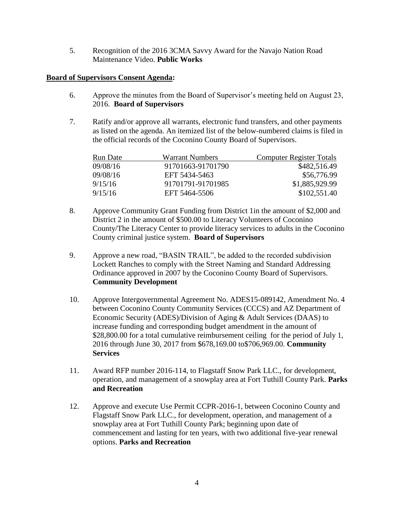5. Recognition of the 2016 3CMA Savvy Award for the Navajo Nation Road Maintenance Video. **Public Works**

#### **Board of Supervisors Consent Agenda:**

- 6. Approve the minutes from the Board of Supervisor's meeting held on August 23, 2016. **Board of Supervisors**
- 7. Ratify and/or approve all warrants, electronic fund transfers, and other payments as listed on the agenda. An itemized list of the below-numbered claims is filed in the official records of the Coconino County Board of Supervisors.

| Run Date | <b>Warrant Numbers</b> | <b>Computer Register Totals</b> |
|----------|------------------------|---------------------------------|
| 09/08/16 | 91701663-91701790      | \$482,516.49                    |
| 09/08/16 | EFT 5434-5463          | \$56,776.99                     |
| 9/15/16  | 91701791-91701985      | \$1,885,929.99                  |
| 9/15/16  | EFT 5464-5506          | \$102,551.40                    |

- 8. Approve Community Grant Funding from District 1in the amount of \$2,000 and District 2 in the amount of \$500.00 to Literacy Volunteers of Coconino County/The Literacy Center to provide literacy services to adults in the Coconino County criminal justice system. **Board of Supervisors**
- 9. Approve a new road, "BASIN TRAIL", be added to the recorded subdivision Lockett Ranches to comply with the Street Naming and Standard Addressing Ordinance approved in 2007 by the Coconino County Board of Supervisors. **Community Development**
- 10. Approve Intergovernmental Agreement No. ADES15-089142, Amendment No. 4 between Coconino County Community Services (CCCS) and AZ Department of Economic Security (ADES)/Division of Aging & Adult Services (DAAS) to increase funding and corresponding budget amendment in the amount of \$28,800.00 for a total cumulative reimbursement ceiling for the period of July 1, 2016 through June 30, 2017 from \$678,169.00 to\$706,969.00. **Community Services**
- 11. Award RFP number 2016-114, to Flagstaff Snow Park LLC., for development, operation, and management of a snowplay area at Fort Tuthill County Park. **Parks and Recreation**
- 12. Approve and execute Use Permit CCPR-2016-1, between Coconino County and Flagstaff Snow Park LLC., for development, operation, and management of a snowplay area at Fort Tuthill County Park; beginning upon date of commencement and lasting for ten years, with two additional five-year renewal options. **Parks and Recreation**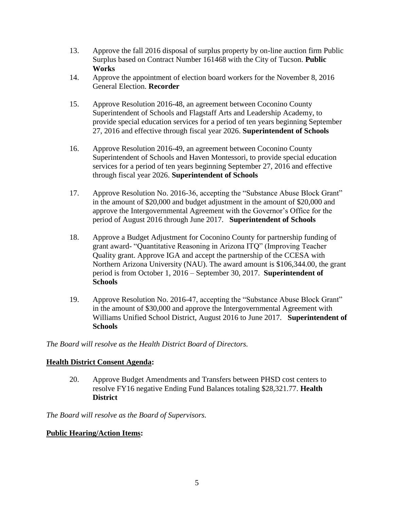- 13. Approve the fall 2016 disposal of surplus property by on-line auction firm Public Surplus based on Contract Number 161468 with the City of Tucson. **Public Works**
- 14. Approve the appointment of election board workers for the November 8, 2016 General Election. **Recorder**
- 15. Approve Resolution 2016-48, an agreement between Coconino County Superintendent of Schools and Flagstaff Arts and Leadership Academy, to provide special education services for a period of ten years beginning September 27, 2016 and effective through fiscal year 2026. **Superintendent of Schools**
- 16. Approve Resolution 2016-49, an agreement between Coconino County Superintendent of Schools and Haven Montessori, to provide special education services for a period of ten years beginning September 27, 2016 and effective through fiscal year 2026. **Superintendent of Schools**
- 17. Approve Resolution No. 2016-36, accepting the "Substance Abuse Block Grant" in the amount of \$20,000 and budget adjustment in the amount of \$20,000 and approve the Intergovernmental Agreement with the Governor's Office for the period of August 2016 through June 2017. **Superintendent of Schools**
- 18. Approve a Budget Adjustment for Coconino County for partnership funding of grant award- "Quantitative Reasoning in Arizona ITQ" (Improving Teacher Quality grant. Approve IGA and accept the partnership of the CCESA with Northern Arizona University (NAU). The award amount is \$106,344.00, the grant period is from October 1, 2016 – September 30, 2017. **Superintendent of Schools**
- 19. Approve Resolution No. 2016-47, accepting the "Substance Abuse Block Grant" in the amount of \$30,000 and approve the Intergovernmental Agreement with Williams Unified School District, August 2016 to June 2017. **Superintendent of Schools**

*The Board will resolve as the Health District Board of Directors.*

### **Health District Consent Agenda:**

20. Approve Budget Amendments and Transfers between PHSD cost centers to resolve FY16 negative Ending Fund Balances totaling \$28,321.77. **Health District**

*The Board will resolve as the Board of Supervisors.*

### **Public Hearing/Action Items:**